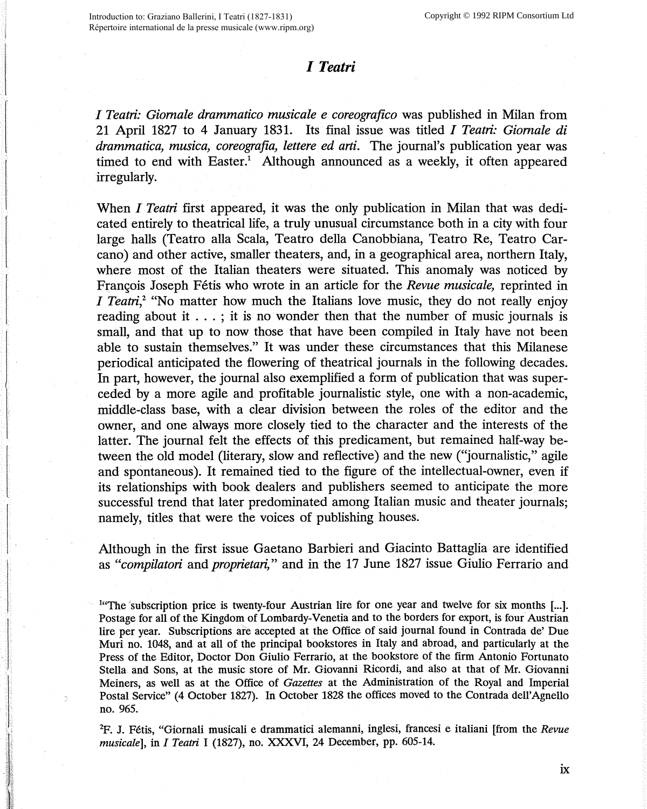## *I Teatri*

*I Teatri: Giornale drammatico musicale e coreografico* was published in Milan from 21 April 1827 to 4 January 1831. Its final issue was titled *I Teatri: Giornale di drammatica, musica, coreografia, lettere ed arti.* The journal's publication year was timed to end with Easter.<sup>1</sup> Although announced as a weekly, it often appeared irregularly.

When *I Teatri* first appeared, it was the only publication in Milan that was dedicated entirely to theatrical life, a truly unusual circumstance both in a city with four large halls (Teatro alla Scala, Teatro della Canobbiana, Teatro Re, Teatro Carcano) and other active, smaller theaters, and, in a geographical area, northern Italy, where most of the Italian theaters were situated. This anomaly was noticed by Francois Joseph Fétis who wrote in an article for the *Revue musicale*, reprinted in *I Teatri,*<sup>2</sup> "No matter how much the Italians love music, they do not really enjoy reading about it . . . ; it is no wonder then that the number of music journals is small, and that up to now those that have been compiled in Italy have not been able to sustain themselves." It was under these circumstances that this Milanese periodical anticipated the flowering of theatrical journals in the following decades. In part, however, the journal also exemplified a form of publication that was superceded by a more agile and profitable journalistic style, one with a non-academic, middle-class base, with a clear division between the roles of the editor and the owner, and one always more closely tied to the character and the interests of the latter. The journal felt the effects of this predicament, but remained half-way between the old model (literary, slow and reflective) and the new ("journalistic," agile and spontaneous). It remained tied to the figure of the intellectual-owner, even if its relationships with book dealers and publishers seemed to anticipate the more successful trend that later predominated among Italian music and theater journals; namely, titles that were the voices of publishing houses.

Although in the first issue Gaetano Barbieri and Giacinta Battaglia are identified as *"compilatori* and *proprietari,"* and in the 17 June 1827 issue Giulio Ferrario and

<sup>14</sup> The subscription price is twenty-four Austrian lire for one year and twelve for six months [...]. Postage for all of the Kingdom of Lombardy-Venetia and to the borders for export, is four Austrian lire per year. Subscriptions are accepted at the Office of said journal found in Contrada de' Due Muri no. 1048, and at all of the principal bookstores in Italy and abroad, and particularly at the Press of the Editor, Doctor Don Giulio Ferrario, at the bookstore of the firm Antonio Fortunato Stella and Sons, at the music store of Mr. Giovanni Ricordi, and also at that of Mr. Giovanni Meiners, as well as at the Office of *Gazettes* at the Administration of the Royal and Imperial Postal Service" (4 October 1827). In October 1828 the offices moved to the Contrada dell'Agnello no. 965.

2 F. J. Fetis, "Giornali musicali e drammatici alemanni, inglesi, francesi e italiani [from the *Revue musicale],* in J *Teatri* I (1827), no. **XXXVI,** 24 December, pp. 605-14.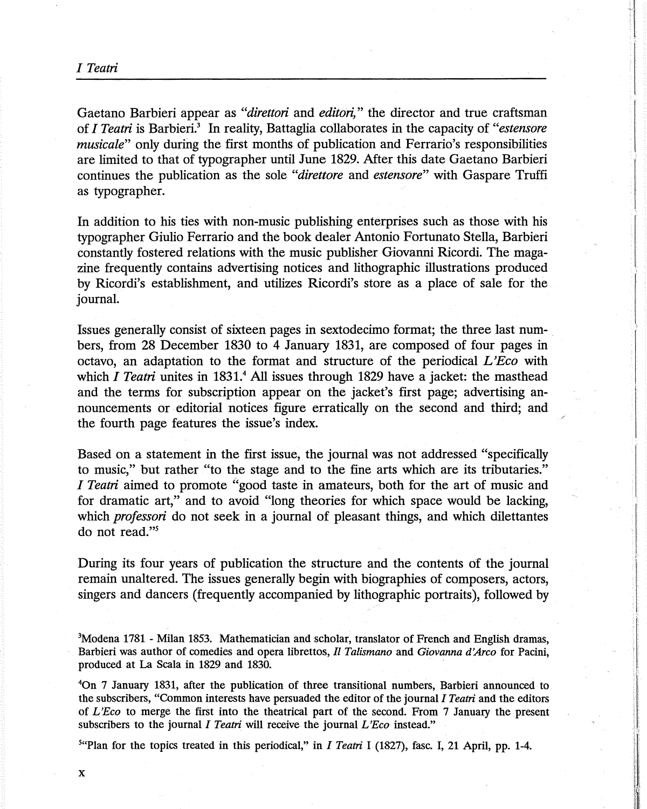Gaetano Barbieri appear as *"direttori* and *editori,"* the director and true craftsman of *I Teatri* is Barbieri.3 In reality, Battaglia collaborates in the capacity of *"estensore musicale"* only during the first months of publication and Ferrario's responsibilities are limited to that of typographer until June 1829. After this date Gaetano Barbieri continues the publication as the sole *"direttore* and *estensore"* with Gaspare Truffi as typographer.

In addition to his ties with non-music publishing enterprises such as those with his typographer Giulio Ferrario and the book dealer Antonio Fortunato Stella, Barbieri constantly fostered relations with the music publisher Giovanni Ricardi. The magazine frequently contains advertising notices and lithographic illustrations produced by Ricordi's establishment, and utilizes Ricordi's store as a place of sale for the journal.

Issues generally consist of sixteen pages in sextodecimo format; the three last numbers, from 28 December 1830 to 4 January 1831, are composed of four pages in octavo, an adaptation to the format and structure of the periodical *L 'Eco* with which *I Teatri* unites in 1831.<sup>4</sup> All issues through 1829 have a jacket: the masthead and the terms for subscription appear on the jacket's first page; advertising announcements or editorial notices figure erratically on the second and third; and the fourth page features the issue's index.

Based on a statement in the first issue, the journal was not addressed "specifically to music," but rather "to the stage and to the fine arts which are its tributaries." *I Teatri* aimed to promote ''good taste in amateurs, both for the art of music and for dramatic art," and to avoid "long theories for which space would be lacking, which *professori* do not seek in a journal of pleasant things, and which dilettantes do not read."<sup>5</sup>

During its four years of publication the structure and the contents of the journal remain unaltered. The issues generally begin with biographies of composers, actors, singers and dancers (frequently accompanied by lithographic portraits), followed by

<sup>3</sup>Modena 1781 - Milan 1853. Mathematician and scholar, translator of French and English dramas, Barbieri was author of comedies and opera librettos, *IL Talismano* and *Giovanna d'Arco* for Pacini, produced at La Scala in 1829 and 1830.

4 On 7 January 1831, after the publication of three transitional numbers, Barbieri announced to the subscribers, "Common interests have persuaded the editor of the journal *I Teatri* and the editors of *L 'Eco* to merge the first into the theatrical part of the second. From 7 January the present subscribers to the journal *I Teatri* will receive the journal *L'Eco* instead."

5 "Plan for the topics treated in this periodical," in J *Teatri* I (1827), fasc. I, 21 April, pp. 1-4.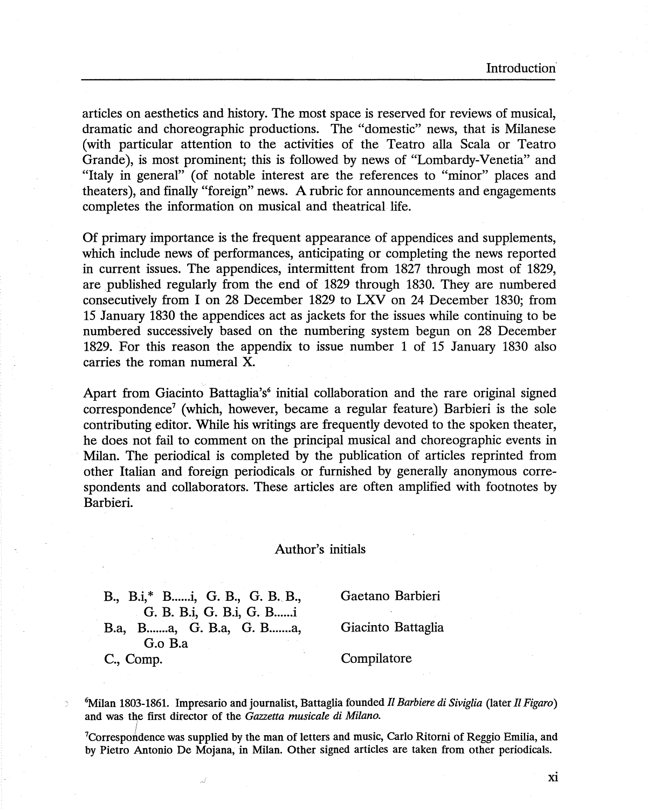articles on aesthetics and history. The most space is reserved for reviews of musical, dramatic and choreographic productions. The "domestic" news, that is Milanese (with particular attention to the activities of the Teatro alla Scala or Teatro Grande), is most prominent; this is followed by news of "Lombardy-Venetia" and "Italy in general" ( of notable interest are the references to "minor" places and theaters), and finally "foreign" news. A rubric for announcements and engagements completes the information on musical and theatrical life.

Of primary importance is the frequent appearance of appendices and supplements, which include news of performances, anticipating or completing the news reported in current issues. The appendices, intermittent from 1827 through most of 1829, are published regularly from the end of 1829 through 1830. They are numbered consecutively from I on 28 December 1829 to LXV on 24 December 1830; from 15 January 1830 the appendices act as jackets for the issues while continuing to be numbered successively based on the numbering system begun on 28 December 1829. For this reason the appendix to issue number 1 of 15 January 1830 also carries the roman numeral X.

Apart from Giacinto Battaglia's<sup>6</sup> initial collaboration and the rare original signed correspondence<sup>7</sup> (which, however, became a regular feature) Barbieri is the sole contributing editor. While his writings are frequently devoted to the spoken theater, he does not fail to comment on the principal musical and choreographic events in Milan. The periodical is completed by the publication of articles reprinted from other Italian and foreign periodicals or furnished by generally anonymous correspondents and collaborators. These articles are often amplified with footnotes by Barbieri.

## Author's initials

B., B.i,\* B. .... .i, G. B., G. B.. B., G. B. B.i, G. B.i, G. B....... B.a, B.......a, G. B.a, G. B.......a, G.o B.a

Gaetano Barbieri

Giacinta Battaglia

C., Comp.

Compilatore

6 Milan 1803-1861. Impresario and journalist, Battaglia founded *II Barbiere di Siviglia* (later *11 Figaro)*  and was the first director of the *Gazzetta musicale di Milano.*  I

<sup>7</sup>Correspondence was supplied by the man of letters and music, Carlo Ritorni of Reggio Emilia, and by Pietro Antonio De Mojana, in Milan. Other signed articles are taken from other periodicals.

Xl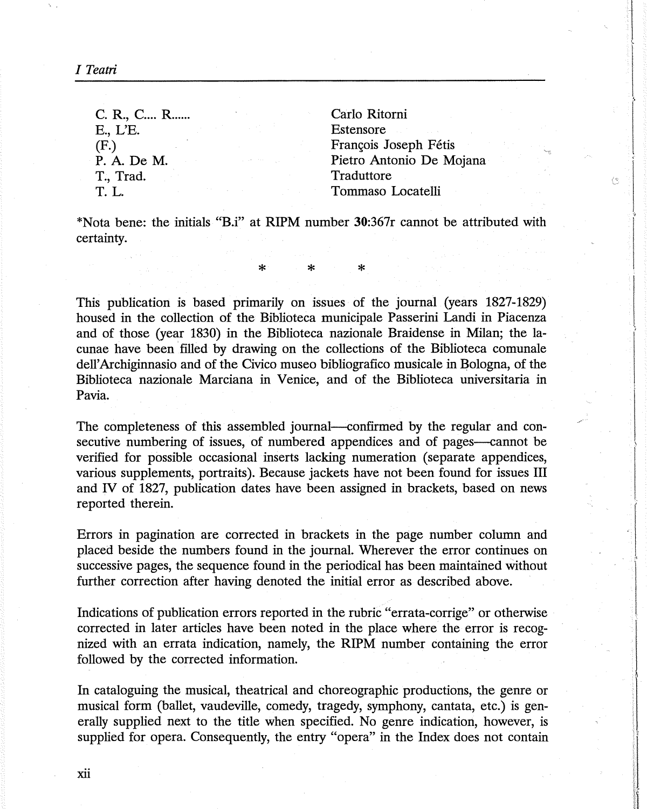*I Teatri* 

C. R., C.... R....... E.,L'E. (F.) P.A. De M. T., Trad. T. L. Carlo Ritorni Estensore François Joseph Fétis Pietro Antonio De Mojana Traduttore Tommaso Locatelli

(S

\*Nata bene: the initials **"B.i"** at **RIPM** number **30:367r** cannot be attributed with certainty.

\* \* \*

This publication is based primarily on issues of the journal (years 1827-1829) housed in the collection of the Biblioteca municipale Passerini Landi in Piacenza and of those (year 1830) in the Biblioteca nazionale Braidense in Milan; the lacunae have been filled by drawing on the collections of the Biblioteca comunale dell' Archiginnasio and of the Civico museo bibliografico musicale in Bologna, of the Biblioteca nazionale Marciana in Venice, and of the Biblioteca universitaria in Pavia.

The completeness of this assembled journal—confirmed by the regular and consecutive numbering of issues, of numbered appendices and of pages—cannot be verified for possible occasional inserts lacking numeration ( separate appendices, various supplements, portraits). Because jackets have not been found for issues III and IV of 1827, publication dates have been assigned in brackets, based on news reported therein.

Errors in pagination are corrected in brackets in the page number column and placed beside the numbers found in the journal. Wherever the error continues on successive pages, the sequence found in the periodical has been maintained without further correction after having denoted the initial error as described above.

Indications of publication errors reported in the rubric "errata-corrige" or otherwise corrected in later articles have been noted in the place where the error is recognized with an errata indication, namely, the **RIPM** number containing the error followed by the corrected information.

In cataloguing the musical, theatrical and choreographic productions, the genre or musical form (ballet, vaudeville, comedy, tragedy, symphony, cantata, etc.) is generally supplied next to the title when specified. No genre indication, however, is supplied for opera. Consequently, the entry "opera" in the Index does not contain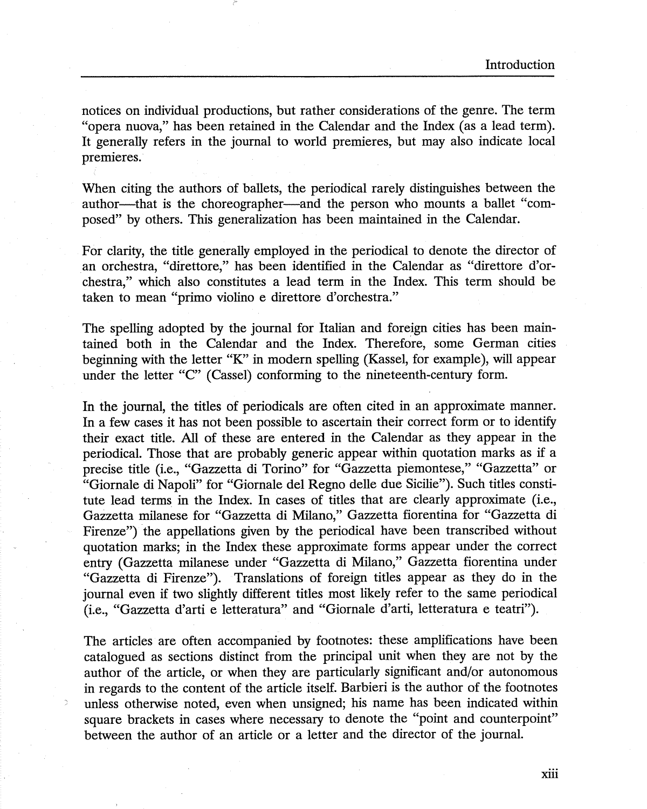notices on individual productions, but rather considerations of the genre. The term "opera nuova," has been retained in the Calendar and the Index (as a lead term). It generally refers in the journal to world premieres, but may also indicate local premieres.

When citing the authors of ballets, the periodical rarely distinguishes between the author—that is the choreographer—and the person who mounts a ballet "composed" by others. This generalization has been maintained in the Calendar.

For clarity, the title generally employed in the periodical to denote the director of an orchestra, "direttore," has been identified in the Calendar as "direttore d'orchestra," which also constitutes a lead term in the Index. This term should be taken to mean "primo violino e direttore d'orchestra."

The spelling adopted by the journal for Italian and foreign cities has been maintained both in the Calendar and the Index. Therefore, some German cities beginning with the letter "K" in modern spelling (Kassel, for example), will appear under the letter "C" (Cassel) conforming to the nineteenth-century form.

In the journal, the titles of periodicals are often cited in an approximate manner. In a few cases it has not been possible to ascertain their correct form or to identify their exact title. All of these are entered in the Calendar as they appear in the periodical. Those that are probably generic appear within quotation marks as if a precise title (i.e., "Gazzetta di Torino" for "Gazzetta piemontese," "Gazzetta" or "Giornale di Napoli" for "Giornale del Regno delle due Sicilie"). Such titles constitute lead terms in the Index. In cases of titles that are clearly approximate (i.e., Gazzetta milanese for "Gazzetta di Milano," Gazzetta fiorentina for "Gazzetta di Firenze") the appellations given by the periodical have been transcribed without quotation marks; in the Index these approximate forms appear under the correct entry (Gazzetta milanese under "Gazzetta di Milano," Gazzetta fiorentina under "Gazzetta di Firenze"). Translations of foreign titles appear as they do in the journal even if two slightly different titles most likely refer to the same periodical (i.e., "Gazzetta d'arti e letteratura" and "Giornale d'arti, letteratura e teatri").

The articles are often accompanied by footnotes: these amplifications have been catalogued as sections distinct from the principal unit when they are not by the author of the article, or when they are particularly significant and/or autonomous in regards to the content of the article itself. Barbieri is the author of the footnotes unless otherwise noted, even when unsigned; his name has been indicated within square brackets in cases where necessary to denote the "point and counterpoint" between the author of an article or a letter and the director of the journal.

xiii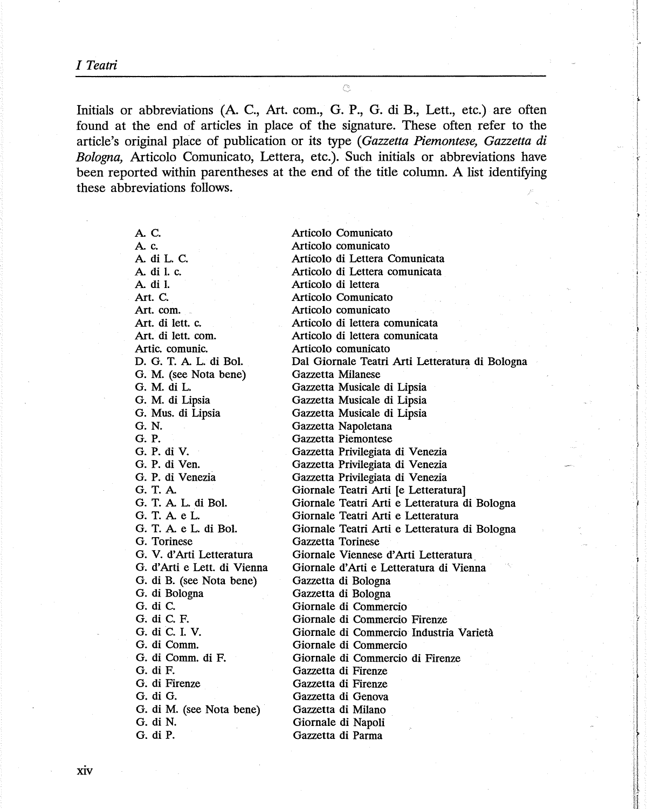*ITeatri* 

Initials or abbreviations (A. C., Art. com., G. P., G. di B., Lett., etc.) are often found at the end of articles in place of the signature. These often refer to the article's original place of publication or its type ( *Gazzetta Piemontese, Gazzetta di Bologna,* Articolo Comunicato, Lettera, etc.). Such initials or abbreviations have been reported within parentheses at the end of the title column. A list identifying these abbreviations follows.

Ċ,

A. C. **Ac. AdiL.C. Adil.c. A di** I. **Art. C.**  Art. com. **Art. di lett.** c. Art. di lett. com. **Artie.** comunic. **D. G.** T. A L. **di Bol. G. M.** (see **Nota bene) G. M. di** L. **G. M. di Lipsia**  G. **Mus.** di Lipsia **G.N. G. P.**  G. P. **di V. G. P. di Ven.**  G. P. di Venezia **G.T.A**  G. T. A L. **di Bol.**  G. T. A e L. G. T. A e L. **di Bol.**  G. Torinese G. V. d' Arti Letteratura G. d'Arti e Lett. di Vienna G. di B. (see **Nota** bene) **G. di** Bologna **G. di C. G. di C.** F. **G. di C.** I. **V.**  G. di Comm. G. di **Comm. di F.**  G. di F. **G. di** Firenze **G. di G. G. di M.** (see **Nota bene) G. di N. G. di** P.

Articolo Comunicato Articolo comunicato Articolo di Lettera Comunicata Articolo di Lettera comunicata Articolo di lettera Articolo Comunicato Articolo comunicato Articolo di lettera comunicata Articolo di lettera comunicata Articolo comunicato Dal Giornale Teatri Arti Letteratura di Bologna Gazzetta Milanese Gazzetta Musicale di Lipsia Gazzetta Musicale di Lipsia Gazzetta Musicale di Lipsia Gazzetta Napoletana Gazzetta Piemontese Gazzetta Privilegiata di Venezia Gazzetta Privilegiata di Venezia Gazzetta Privilegiata di Venezia Giornale Teatri Arti [e Letteratura] Giornale Teatri Arti e Letteratura di Bologna Giornale Teatri Arti e Letteratura Giornale Teatri Arti e Letteratura di Bologna Gazzetta Torinese Giornale Viennese d'Arti Letteratura Giornale d' Arti e Letteratura di Vienna Gazzetta di Bologna Gazzetta di Bologna Giornale di Commercio Giornale di Commercio Firenze Giornale di Commercio Industria Varieta Giornale di Commercio Giornale di Commercio di Firenze Gazzetta di Firenze Gazzetta di Firenze Gazzetta di Genova Gazzetta di Milano Giornale di Napoli Gazzetta di Parma